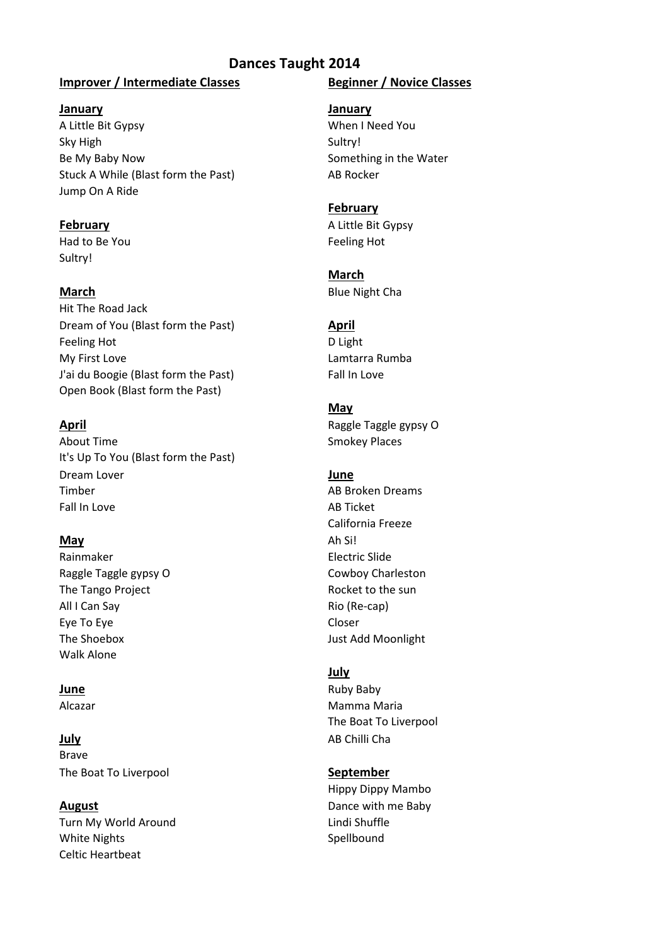# **Dances Taught 2014**

### **Improver / Intermediate Classes Beginner / Novice Classes**

### **January January**

A Little Bit Gypsy When I Need You Sky High Sultry! Be My Baby Now Something in the Water Stuck A While (Blast form the Past) AB Rocker Jump On A Ride

Had to Be You **Feeling Hot** Feeling Hot Sultry!

Hit The Road Jack Dream of You (Blast form the Past) **April** Feeling Hot **D** Light My First Love **Lamtarra Rumba** J'ai du Boogie (Blast form the Past) Fall In Love Open Book (Blast form the Past)

About Time **Smokey Places** Smokey Places It's Up To You (Blast form the Past) Dream Lover **Contract Contract Contract Contract Contract Contract Contract Contract Contract Contract Contract Contract Contract Contract Contract Contract Contract Contract Contract Contract Contract Contract Contract Co** Timber AB Broken Dreams Fall In Love **AB Ticket** 

Rainmaker **Electric Slide** Raggle Taggle gypsy O Cowboy Charleston The Tango Project **Rocket to the sun** All I Can Say **Rio** (Re-cap) Eye To Eye Closer The Shoebox **Just Add Moonlight** Walk Alone

**July** AB Chilli Cha Brave The Boat To Liverpool **September**

Turn My World Around **Lindi Shuffle** White Nights **Spellbound** Celtic Heartbeat

### **February**

**February** A Little Bit Gypsy

# **March**

**March** Blue Night Cha

# **May**

**April April April April April Raggle Taggle gypsy O** 

California Freeze **May** Ah Si!

# **July**

**June** Ruby Baby Alcazar **Mamma Maria** Mamma Maria The Boat To Liverpool

# Hippy Dippy Mambo **August Dance with me Baby**